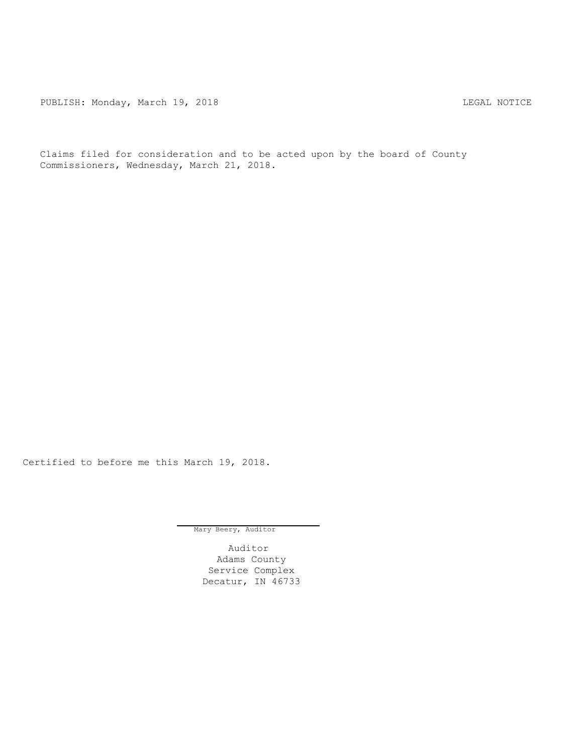PUBLISH: Monday, March 19, 2018 CHANGE CONSERVERT MONAGEMENT REGAL NOTICE

Claims filed for consideration and to be acted upon by the board of County Commissioners, Wednesday, March 21, 2018.

Certified to before me this March 19, 2018.

Mary Beery, Auditor

Auditor Adams County Service Complex Decatur, IN 46733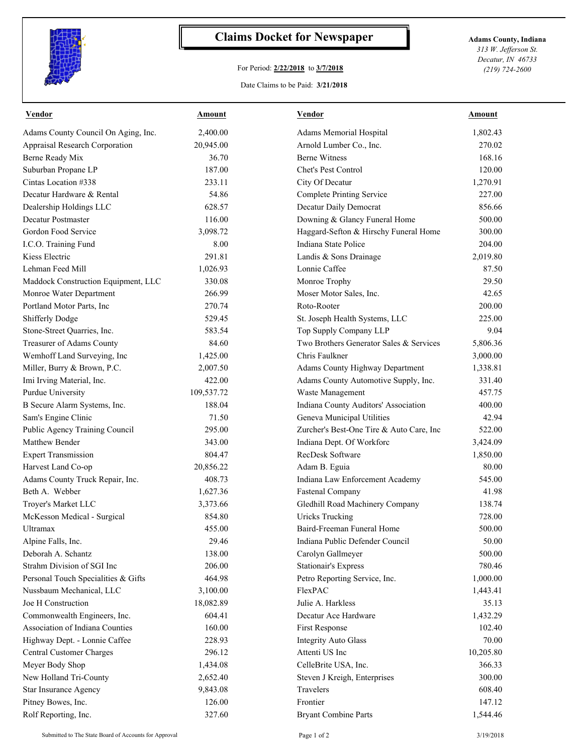

## **Claims Docket for Newspaper Adams County, Indiana**

## For Period: **2/22/2018** to **3/7/2018**

*313 W. Jefferson St. Decatur, IN 46733 (219) 724-2600*

## Date Claims to be Paid: **3/21/2018**

| Vendor                              | Amount     | Vendor                                   | Amount    |
|-------------------------------------|------------|------------------------------------------|-----------|
| Adams County Council On Aging, Inc. | 2,400.00   | Adams Memorial Hospital                  | 1,802.43  |
| Appraisal Research Corporation      | 20,945.00  | Arnold Lumber Co., Inc.                  | 270.02    |
| Berne Ready Mix                     | 36.70      | <b>Berne Witness</b>                     | 168.16    |
| Suburban Propane LP                 | 187.00     | Chet's Pest Control                      | 120.00    |
| Cintas Location #338                | 233.11     | City Of Decatur                          | 1,270.91  |
| Decatur Hardware & Rental           | 54.86      | <b>Complete Printing Service</b>         | 227.00    |
| Dealership Holdings LLC             | 628.57     | Decatur Daily Democrat                   | 856.66    |
| Decatur Postmaster                  | 116.00     | Downing & Glancy Funeral Home            | 500.00    |
| Gordon Food Service                 | 3,098.72   | Haggard-Sefton & Hirschy Funeral Home    | 300.00    |
| I.C.O. Training Fund                | 8.00       | Indiana State Police                     | 204.00    |
| Kiess Electric                      | 291.81     | Landis & Sons Drainage                   | 2,019.80  |
| Lehman Feed Mill                    | 1,026.93   | Lonnie Caffee                            | 87.50     |
| Maddock Construction Equipment, LLC | 330.08     | Monroe Trophy                            | 29.50     |
| Monroe Water Department             | 266.99     | Moser Motor Sales, Inc.                  | 42.65     |
| Portland Motor Parts, Inc           | 270.74     | Roto-Rooter                              | 200.00    |
| Shifferly Dodge                     | 529.45     | St. Joseph Health Systems, LLC           | 225.00    |
| Stone-Street Quarries, Inc.         | 583.54     | Top Supply Company LLP                   | 9.04      |
| Treasurer of Adams County           | 84.60      | Two Brothers Generator Sales & Services  | 5,806.36  |
| Wemhoff Land Surveying, Inc         | 1,425.00   | Chris Faulkner                           | 3,000.00  |
| Miller, Burry & Brown, P.C.         | 2,007.50   | Adams County Highway Department          | 1,338.81  |
| Imi Irving Material, Inc.           | 422.00     | Adams County Automotive Supply, Inc.     | 331.40    |
| Purdue University                   | 109,537.72 | Waste Management                         | 457.75    |
| B Secure Alarm Systems, Inc.        | 188.04     | Indiana County Auditors' Association     | 400.00    |
| Sam's Engine Clinic                 | 71.50      | Geneva Municipal Utilities               | 42.94     |
| Public Agency Training Council      | 295.00     | Zurcher's Best-One Tire & Auto Care, Inc | 522.00    |
| Matthew Bender                      | 343.00     | Indiana Dept. Of Workforc                | 3,424.09  |
| <b>Expert Transmission</b>          | 804.47     | RecDesk Software                         | 1,850.00  |
| Harvest Land Co-op                  | 20,856.22  | Adam B. Eguia                            | 80.00     |
| Adams County Truck Repair, Inc.     | 408.73     | Indiana Law Enforcement Academy          | 545.00    |
| Beth A. Webber                      | 1,627.36   | <b>Fastenal Company</b>                  | 41.98     |
| Troyer's Market LLC                 | 3,373.66   | Gledhill Road Machinery Company          | 138.74    |
| McKesson Medical - Surgical         | 854.80     | <b>Uricks Trucking</b>                   | 728.00    |
| Ultramax                            | 455.00     | Baird-Freeman Funeral Home               | 500.00    |
| Alpine Falls, Inc.                  | 29.46      | Indiana Public Defender Council          | 50.00     |
| Deborah A. Schantz                  | 138.00     | Carolyn Gallmeyer                        | 500.00    |
| Strahm Division of SGI Inc          | 206.00     | <b>Stationair's Express</b>              | 780.46    |
| Personal Touch Specialities & Gifts | 464.98     | Petro Reporting Service, Inc.            | 1,000.00  |
| Nussbaum Mechanical, LLC            | 3,100.00   | FlexPAC                                  | 1,443.41  |
| Joe H Construction                  | 18,082.89  | Julie A. Harkless                        | 35.13     |
| Commonwealth Engineers, Inc.        | 604.41     | Decatur Ace Hardware                     | 1,432.29  |
| Association of Indiana Counties     | 160.00     | First Response                           | 102.40    |
| Highway Dept. - Lonnie Caffee       | 228.93     | <b>Integrity Auto Glass</b>              | 70.00     |
| Central Customer Charges            | 296.12     | Attenti US Inc                           | 10,205.80 |
| Meyer Body Shop                     | 1,434.08   | CelleBrite USA, Inc.                     | 366.33    |
| New Holland Tri-County              | 2,652.40   | Steven J Kreigh, Enterprises             | 300.00    |
| Star Insurance Agency               | 9,843.08   | Travelers                                | 608.40    |
| Pitney Bowes, Inc.                  | 126.00     | Frontier                                 | 147.12    |
| Rolf Reporting, Inc.                | 327.60     | <b>Bryant Combine Parts</b>              | 1,544.46  |
|                                     |            |                                          |           |